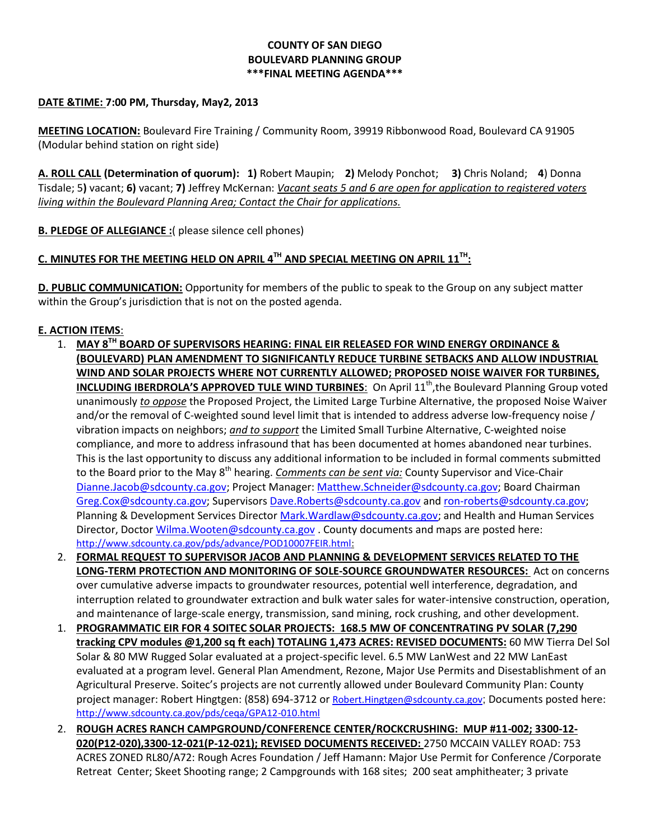### **COUNTY OF SAN DIEGO BOULEVARD PLANNING GROUP \*\*\*FINAL MEETING AGENDA\*\*\***

### **DATE &TIME: 7:00 PM, Thursday, May2, 2013**

**MEETING LOCATION:** Boulevard Fire Training / Community Room, 39919 Ribbonwood Road, Boulevard CA 91905 (Modular behind station on right side)

**A. ROLL CALL (Determination of quorum): 1)** Robert Maupin; **2)** Melody Ponchot; **3)** Chris Noland; **4**) Donna Tisdale; 5**)** vacant; **6)** vacant; **7)** Jeffrey McKernan: *Vacant seats 5 and 6 are open for application to registered voters living within the Boulevard Planning Area; Contact the Chair for applications.* 

**B. PLEDGE OF ALLEGIANCE :**( please silence cell phones)

# **C. MINUTES FOR THE MEETING HELD ON APRIL 4TH AND SPECIAL MEETING ON APRIL 11TH:**

**D. PUBLIC COMMUNICATION:** Opportunity for members of the public to speak to the Group on any subject matter within the Group's jurisdiction that is not on the posted agenda.

#### **E. ACTION ITEMS**:

- 1. **MAY 8TH BOARD OF SUPERVISORS HEARING: FINAL EIR RELEASED FOR WIND ENERGY ORDINANCE & (BOULEVARD) PLAN AMENDMENT TO SIGNIFICANTLY REDUCE TURBINE SETBACKS AND ALLOW INDUSTRIAL WIND AND SOLAR PROJECTS WHERE NOT CURRENTLY ALLOWED; PROPOSED NOISE WAIVER FOR TURBINES, INCLUDING IBERDROLA'S APPROVED TULE WIND TURBINES**: On April 11<sup>th</sup>, the Boulevard Planning Group voted unanimously *to oppose* the Proposed Project, the Limited Large Turbine Alternative, the proposed Noise Waiver and/or the removal of C-weighted sound level limit that is intended to address adverse low-frequency noise / vibration impacts on neighbors; *and to support* the Limited Small Turbine Alternative, C-weighted noise compliance, and more to address infrasound that has been documented at homes abandoned near turbines. This is the last opportunity to discuss any additional information to be included in formal comments submitted to the Board prior to the May 8th hearing. *Comments can be sent via:* County Supervisor and Vice-Chair [Dianne.Jacob@sdcounty.ca.gov;](mailto:Dianne.Jacob@sdcounty.ca.gov) Project Manager[: Matthew.Schneider@sdcounty.ca.gov;](mailto:Matthew.Schneider@sdcounty.ca.gov) Board Chairman [Greg.Cox@sdcounty.ca.gov;](mailto:Greg.Cox@sdcounty.ca.gov) Supervisors [Dave.Roberts@sdcounty.ca.gov](mailto:Dave.Roberts@sdcounty.ca.gov) and [ron-roberts@sdcounty.ca.gov;](mailto:ron-roberts@sdcounty.ca.gov) Planning & Development Services Director [Mark.Wardlaw@sdcounty.ca.gov;](mailto:Mark.Wardlaw@sdcounty.ca.gov) and Health and Human Services Director, Doctor [Wilma.Wooten@sdcounty.ca.gov](mailto:Wilma.Wooten@sdcounty.ca.gov) . County documents and maps are posted here: [http://www.sdcounty.ca.gov/pds/advance/POD10007FEIR.html:](http://www.sdcounty.ca.gov/pds/advance/POD10007FEIR.html)
- 2. **FORMAL REQUEST TO SUPERVISOR JACOB AND PLANNING & DEVELOPMENT SERVICES RELATED TO THE LONG-TERM PROTECTION AND MONITORING OF SOLE-SOURCE GROUNDWATER RESOURCES:** Act on concerns over cumulative adverse impacts to groundwater resources, potential well interference, degradation, and interruption related to groundwater extraction and bulk water sales for water-intensive construction, operation, and maintenance of large-scale energy, transmission, sand mining, rock crushing, and other development.
- 1. **PROGRAMMATIC EIR FOR 4 SOITEC SOLAR PROJECTS: 168.5 MW OF CONCENTRATING PV SOLAR (7,290 tracking CPV modules @1,200 sq ft each) TOTALING 1,473 ACRES: REVISED DOCUMENTS:** 60 MW Tierra Del Sol Solar & 80 MW Rugged Solar evaluated at a project-specific level. 6.5 MW LanWest and 22 MW LanEast evaluated at a program level. General Plan Amendment, Rezone, Major Use Permits and Disestablishment of an Agricultural Preserve. Soitec's projects are not currently allowed under Boulevard Community Plan: County project manager: Robert Hingtgen: (858) 694-3712 or Robert. Hingtgen@sdcounty.ca.gov; Documents posted here: <http://www.sdcounty.ca.gov/pds/ceqa/GPA12-010.html>
- 2. **ROUGH ACRES RANCH CAMPGROUND/CONFERENCE CENTER/ROCKCRUSHING: MUP #11-002; 3300-12- 020(P12-020),3300-12-021(P-12-021); REVISED DOCUMENTS RECEIVED:** 2750 MCCAIN VALLEY ROAD: 753 ACRES ZONED RL80/A72: Rough Acres Foundation / Jeff Hamann: Major Use Permit for Conference /Corporate Retreat Center; Skeet Shooting range; 2 Campgrounds with 168 sites; 200 seat amphitheater; 3 private